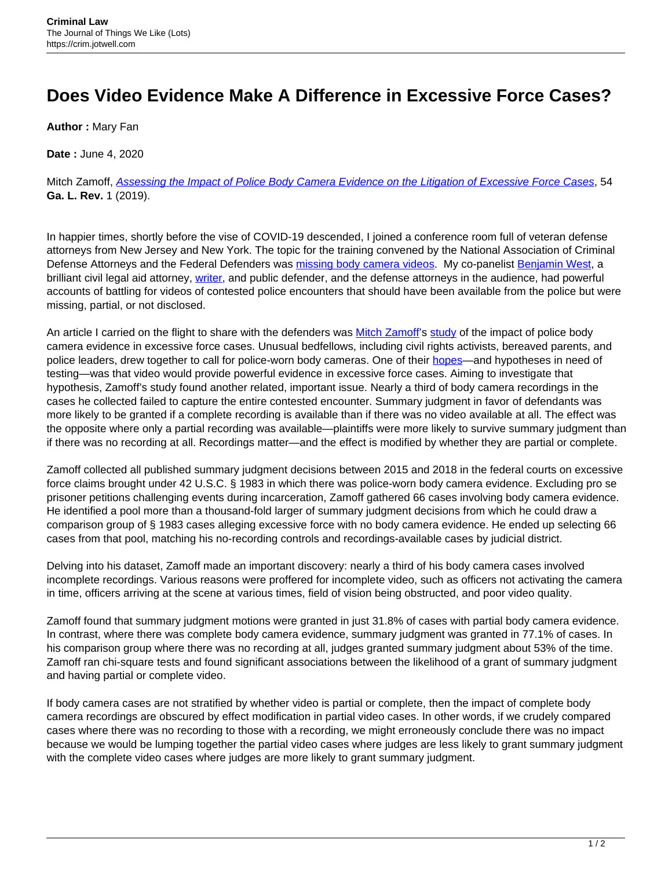## **Does Video Evidence Make A Difference in Excessive Force Cases?**

**Author :** Mary Fan

**Date :** June 4, 2020

Mitch Zamoff, [Assessing the Impact of Police Body Camera Evidence on the Litigation of Excessive Force Cases](https://www.georgialawreview.org/article/11737-assessing-the-impact-of-police-body-camera-evidence-on-the-litigation-of-excessive-force-cases), 54 **Ga. L. Rev.** 1 (2019).

In happier times, shortly before the vise of COVID-19 descended, I joined a conference room full of veteran defense attorneys from New Jersey and New York. The topic for the training convened by the National Association of Criminal Defense Attorneys and the Federal Defenders was [missing body camera videos.](https://papers.ssrn.com/sol3/papers.cfm?abstract_id=3005568) My co-panelist [Benjamin West,](https://paw.princeton.edu/article/criminal-injustice-view-inside-courtroom) a brilliant civil legal aid attorney, [writer,](https://www.washingtonpost.com/opinions/to-change-our-racist-legal-system-we-need-to-support-public-defenders/2019/03/25/8ba73994-4cbd-11e9-8cfc-2c5d0999c21e_story.html) and public defender, and the defense attorneys in the audience, had powerful accounts of battling for videos of contested police encounters that should have been available from the police but were missing, partial, or not disclosed.

An article I carried on the flight to share with the defenders was [Mitch Zamoff](https://www.law.umn.edu/profiles/mitchell-e-zamoff)'s [study](https://www.georgialawreview.org/article/11737-assessing-the-impact-of-police-body-camera-evidence-on-the-litigation-of-excessive-force-cases) of the impact of police body camera evidence in excessive force cases. Unusual bedfellows, including civil rights activists, bereaved parents, and police leaders, drew together to call for police-worn body cameras. One of their [hopes—](https://www.amazon.com/Camera-Power-Policing-Privacy-Audiovisual/dp/1108407544)and hypotheses in need of testing—was that video would provide powerful evidence in excessive force cases. Aiming to investigate that hypothesis, Zamoff's study found another related, important issue. Nearly a third of body camera recordings in the cases he collected failed to capture the entire contested encounter. Summary judgment in favor of defendants was more likely to be granted if a complete recording is available than if there was no video available at all. The effect was the opposite where only a partial recording was available—plaintiffs were more likely to survive summary judgment than if there was no recording at all. Recordings matter—and the effect is modified by whether they are partial or complete.

Zamoff collected all published summary judgment decisions between 2015 and 2018 in the federal courts on excessive force claims brought under 42 U.S.C. § 1983 in which there was police-worn body camera evidence. Excluding pro se prisoner petitions challenging events during incarceration, Zamoff gathered 66 cases involving body camera evidence. He identified a pool more than a thousand-fold larger of summary judgment decisions from which he could draw a comparison group of § 1983 cases alleging excessive force with no body camera evidence. He ended up selecting 66 cases from that pool, matching his no-recording controls and recordings-available cases by judicial district.

Delving into his dataset, Zamoff made an important discovery: nearly a third of his body camera cases involved incomplete recordings. Various reasons were proffered for incomplete video, such as officers not activating the camera in time, officers arriving at the scene at various times, field of vision being obstructed, and poor video quality.

Zamoff found that summary judgment motions were granted in just 31.8% of cases with partial body camera evidence. In contrast, where there was complete body camera evidence, summary judgment was granted in 77.1% of cases. In his comparison group where there was no recording at all, judges granted summary judgment about 53% of the time. Zamoff ran chi-square tests and found significant associations between the likelihood of a grant of summary judgment and having partial or complete video.

If body camera cases are not stratified by whether video is partial or complete, then the impact of complete body camera recordings are obscured by effect modification in partial video cases. In other words, if we crudely compared cases where there was no recording to those with a recording, we might erroneously conclude there was no impact because we would be lumping together the partial video cases where judges are less likely to grant summary judgment with the complete video cases where judges are more likely to grant summary judgment.